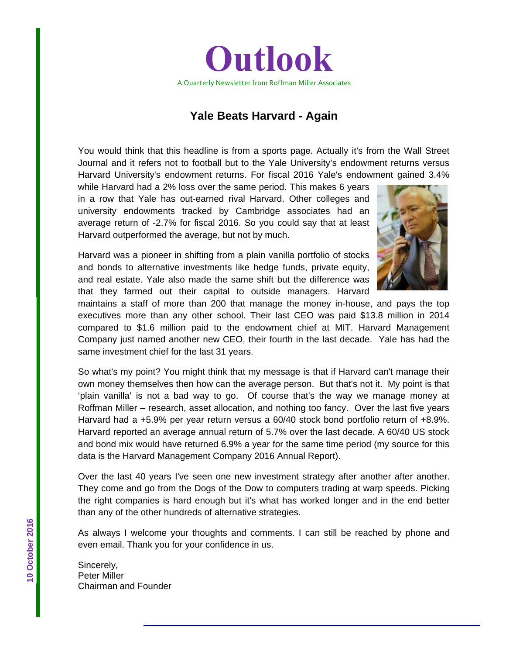

# **Yale Beats Harvard - Again**

You would think that this headline is from a sports page. Actually it's from the Wall Street Journal and it refers not to football but to the Yale University's endowment returns versus Harvard University's endowment returns. For fiscal 2016 Yale's endowment gained 3.4%

while Harvard had a 2% loss over the same period. This makes 6 years in a row that Yale has out-earned rival Harvard. Other colleges and university endowments tracked by Cambridge associates had an average return of -2.7% for fiscal 2016. So you could say that at least Harvard outperformed the average, but not by much.

Harvard was a pioneer in shifting from a plain vanilla portfolio of stocks and bonds to alternative investments like hedge funds, private equity, and real estate. Yale also made the same shift but the difference was that they farmed out their capital to outside managers. Harvard



maintains a staff of more than 200 that manage the money in-house, and pays the top executives more than any other school. Their last CEO was paid \$13.8 million in 2014 compared to \$1.6 million paid to the endowment chief at MIT. Harvard Management Company just named another new CEO, their fourth in the last decade. Yale has had the same investment chief for the last 31 years.

So what's my point? You might think that my message is that if Harvard can't manage their own money themselves then how can the average person. But that's not it. My point is that 'plain vanilla' is not a bad way to go. Of course that's the way we manage money at Roffman Miller – research, asset allocation, and nothing too fancy. Over the last five years Harvard had a +5.9% per year return versus a 60/40 stock bond portfolio return of +8.9%. Harvard reported an average annual return of 5.7% over the last decade. A 60/40 US stock and bond mix would have returned 6.9% a year for the same time period (my source for this data is the Harvard Management Company 2016 Annual Report).

Over the last 40 years I've seen one new investment strategy after another after another. They come and go from the Dogs of the Dow to computers trading at warp speeds. Picking the right companies is hard enough but it's what has worked longer and in the end better than any of the other hundreds of alternative strategies.

As always I welcome your thoughts and comments. I can still be reached by phone and even email. Thank you for your confidence in us.

Sincerely, Peter Miller Chairman and Founder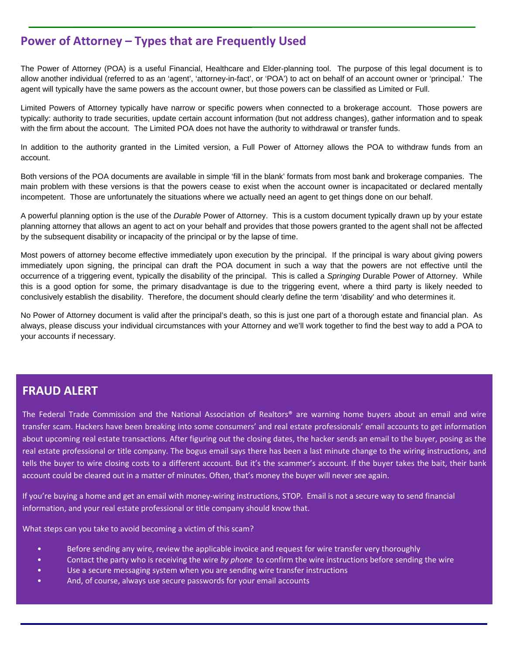# **Power of Attorney – Types that are Frequently Used**

The Power of Attorney (POA) is a useful Financial, Healthcare and Elder-planning tool. The purpose of this legal document is to allow another individual (referred to as an 'agent', 'attorney-in-fact', or 'POA') to act on behalf of an account owner or 'principal.' The agent will typically have the same powers as the account owner, but those powers can be classified as Limited or Full.

Limited Powers of Attorney typically have narrow or specific powers when connected to a brokerage account. Those powers are typically: authority to trade securities, update certain account information (but not address changes), gather information and to speak with the firm about the account. The Limited POA does not have the authority to withdrawal or transfer funds.

In addition to the authority granted in the Limited version, a Full Power of Attorney allows the POA to withdraw funds from an account.

Both versions of the POA documents are available in simple 'fill in the blank' formats from most bank and brokerage companies. The main problem with these versions is that the powers cease to exist when the account owner is incapacitated or declared mentally incompetent. Those are unfortunately the situations where we actually need an agent to get things done on our behalf.

A powerful planning option is the use of the *Durable* Power of Attorney. This is a custom document typically drawn up by your estate planning attorney that allows an agent to act on your behalf and provides that those powers granted to the agent shall not be affected by the subsequent disability or incapacity of the principal or by the lapse of time.

Most powers of attorney become effective immediately upon execution by the principal. If the principal is wary about giving powers immediately upon signing, the principal can draft the POA document in such a way that the powers are not effective until the occurrence of a triggering event, typically the disability of the principal. This is called a *Springing* Durable Power of Attorney. While this is a good option for some, the primary disadvantage is due to the triggering event, where a third party is likely needed to conclusively establish the disability. Therefore, the document should clearly define the term 'disability' and who determines it.

No Power of Attorney document is valid after the principal's death, so this is just one part of a thorough estate and financial plan. As always, please discuss your individual circumstances with your Attorney and we'll work together to find the best way to add a POA to your accounts if necessary.

#### **FRAUD ALERT**

ks<br>Ka

The Federal Trade Commission and the National Association of Realtors® are warning home buyers about an email and wire about upcoming real estate transactions. After figuring out the closing dates, the hacker sends an email to the buyer, posing as the transfer scam. Hackers have been breaking into some consumers' and real estate professionals' email accounts to get information real estate professional or title company. The bogus email says there has been a last minute change to the wiring instructions, and tells the buyer to wire closing costs to a different account. But it's the scammer's account. If the buyer takes the bait, their bank account could be cleared out in a matter of minutes. Often, that's money the buyer will never see again.

If you're buying a home and get an email with money-wiring instructions, STOP. Email is not a secure way to send financial information, and your real estate professional or title company should know that.

What steps can you take to avoid becoming a victim of this scam?

- Before sending any wire, review the applicable invoice and request for wire transfer very thoroughly
- Contact the party who is receiving the wire *by phone* to confirm the wire instructions before sending the wire
- Use a secure messaging system when you are sending wire transfer instructions
- And, of course, always use secure passwords for your email accounts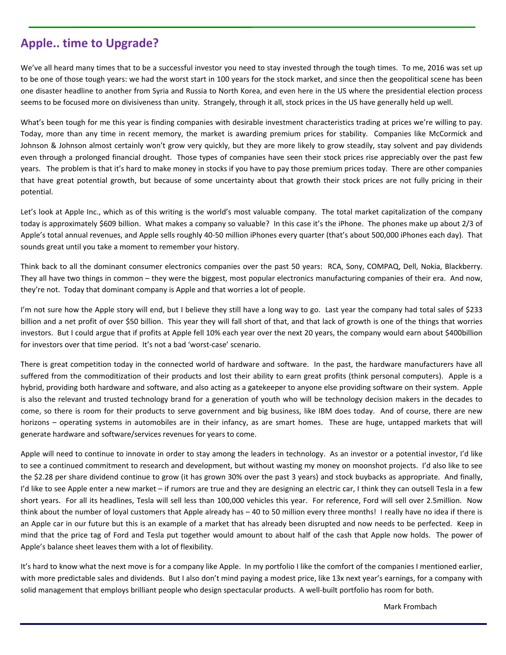# **Apple.. time to Upgrade?**

We've all heard many times that to be a successful investor you need to stay invested through the tough times. To me, 2016 was set up to be one of those tough years: we had the worst start in 100 years for the stock market, and since then the geopolitical scene has been one disaster headline to another from Syria and Russia to North Korea, and even here in the US where the presidential election process seems to be focused more on divisiveness than unity. Strangely, through it all, stock prices in the US have generally held up well.

What's been tough for me this year is finding companies with desirable investment characteristics trading at prices we're willing to pay. Today, more than any time in recent memory, the market is awarding premium prices for stability. Companies like McCormick and Johnson & Johnson almost certainly won't grow very quickly, but they are more likely to grow steadily, stay solvent and pay dividends even through a prolonged financial drought. Those types of companies have seen their stock prices rise appreciably over the past few years. The problem is that it's hard to make money in stocks if you have to pay those premium prices today. There are other companies that have great potential growth, but because of some uncertainty about that growth their stock prices are not fully pricing in their potential.

Let's look at Apple Inc., which as of this writing is the world's most valuable company. The total market capitalization of the company today is approximately \$609 billion. What makes a company so valuable? In this case it's the iPhone. The phones make up about 2/3 of Apple's total annual revenues, and Apple sells roughly 40‐50 million iPhones every quarter (that's about 500,000 iPhones each day). That sounds great until you take a moment to remember your history.

Think back to all the dominant consumer electronics companies over the past 50 years: RCA, Sony, COMPAQ, Dell, Nokia, Blackberry. They all have two things in common – they were the biggest, most popular electronics manufacturing companies of their era. And now, they're not. Today that dominant company is Apple and that worries a lot of people.

I'm not sure how the Apple story will end, but I believe they still have a long way to go. Last year the company had total sales of \$233 billion and a net profit of over \$50 billion. This year they will fall short of that, and that lack of growth is one of the things that worries investors. But I could argue that if profits at Apple fell 10% each year over the next 20 years, the company would earn about \$400billion for investors over that time period. It's not a bad 'worst-case' scenario.

There is great competition today in the connected world of hardware and software. In the past, the hardware manufacturers have all suffered from the commoditization of their products and lost their ability to earn great profits (think personal computers). Apple is a hybrid, providing both hardware and software, and also acting as a gatekeeper to anyone else providing software on their system. Apple is also the relevant and trusted technology brand for a generation of youth who will be technology decision makers in the decades to come, so there is room for their products to serve government and big business, like IBM does today. And of course, there are new horizons – operating systems in automobiles are in their infancy, as are smart homes. These are huge, untapped markets that will generate hardware and software/services revenues for years to come.

Apple will need to continue to innovate in order to stay among the leaders in technology. As an investor or a potential investor, I'd like to see a continued commitment to research and development, but without wasting my money on moonshot projects. I'd also like to see the \$2.28 per share dividend continue to grow (it has grown 30% over the past 3 years) and stock buybacks as appropriate. And finally, I'd like to see Apple enter a new market – if rumors are true and they are designing an electric car, I think they can outsell Tesla in a few short years. For all its headlines, Tesla will sell less than 100,000 vehicles this year. For reference, Ford will sell over 2.5million. Now think about the number of loyal customers that Apple already has – 40 to 50 million every three months! I really have no idea if there is an Apple car in our future but this is an example of a market that has already been disrupted and now needs to be perfected. Keep in mind that the price tag of Ford and Tesla put together would amount to about half of the cash that Apple now holds. The power of Apple's balance sheet leaves them with a lot of flexibility.

It's hard to know what the next move is for a company like Apple. In my portfolio I like the comfort of the companies I mentioned earlier, with more predictable sales and dividends. But I also don't mind paying a modest price, like 13x next year's earnings, for a company with solid management that employs brilliant people who design spectacular products. A well‐built portfolio has room for both.

Mark Frombach